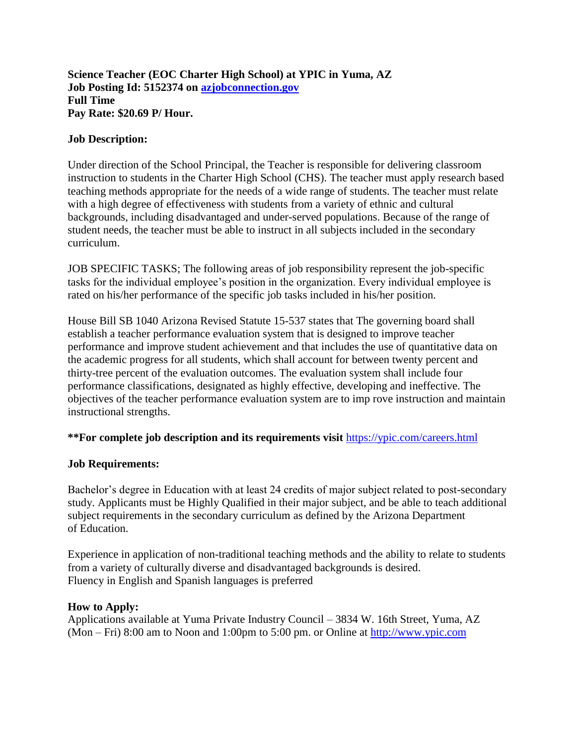#### **Science Teacher (EOC Charter High School) at YPIC in Yuma, AZ Job Posting Id: 5152374 on [azjobconnection.gov](http://azjobconnection.gov/) Full Time Pay Rate: \$20.69 P/ Hour.**

#### **Job Description:**

Under direction of the School Principal, the Teacher is responsible for delivering classroom instruction to students in the Charter High School (CHS). The teacher must apply research based teaching methods appropriate for the needs of a wide range of students. The teacher must relate with a high degree of effectiveness with students from a variety of ethnic and cultural backgrounds, including disadvantaged and under-served populations. Because of the range of student needs, the teacher must be able to instruct in all subjects included in the secondary curriculum.

JOB SPECIFIC TASKS; The following areas of job responsibility represent the job-specific tasks for the individual employee's position in the organization. Every individual employee is rated on his/her performance of the specific job tasks included in his/her position.

House Bill SB 1040 Arizona Revised Statute 15-537 states that The governing board shall establish a teacher performance evaluation system that is designed to improve teacher performance and improve student achievement and that includes the use of quantitative data on the academic progress for all students, which shall account for between twenty percent and thirty-tree percent of the evaluation outcomes. The evaluation system shall include four performance classifications, designated as highly effective, developing and ineffective. The objectives of the teacher performance evaluation system are to imp rove instruction and maintain instructional strengths.

## **\*\*For complete job description and its requirements visit** <https://ypic.com/careers.html>

## **Job Requirements:**

Bachelor's degree in Education with at least 24 credits of major subject related to post-secondary study. Applicants must be Highly Qualified in their major subject, and be able to teach additional subject requirements in the secondary curriculum as defined by the Arizona Department of Education.

Experience in application of non-traditional teaching methods and the ability to relate to students from a variety of culturally diverse and disadvantaged backgrounds is desired. Fluency in English and Spanish languages is preferred

#### **How to Apply:**

Applications available at Yuma Private Industry Council – 3834 W. 16th Street, Yuma, AZ (Mon – Fri) 8:00 am to Noon and 1:00pm to 5:00 pm. or Online at [http://www.ypic.com](http://www.ypic.com/)